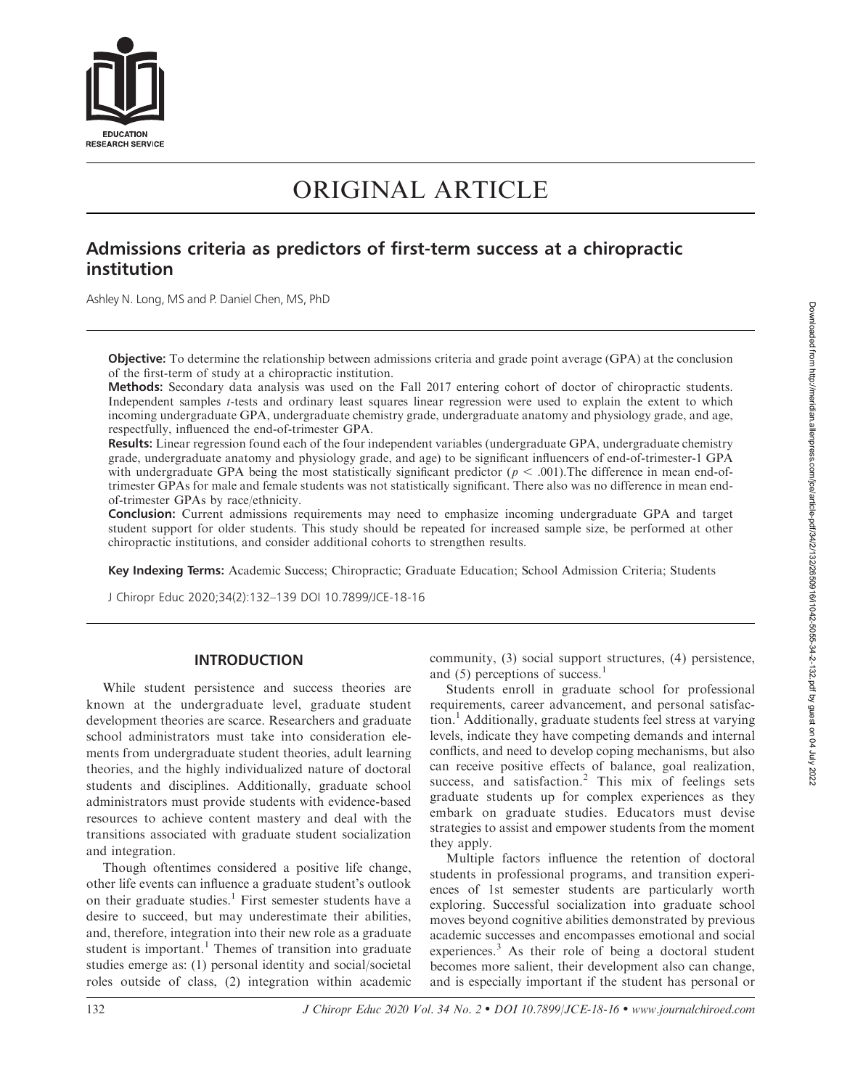

# ORIGINAL ARTICLE

# Admissions criteria as predictors of first-term success at a chiropractic institution

Ashley N. Long, MS and P. Daniel Chen, MS, PhD

Objective: To determine the relationship between admissions criteria and grade point average (GPA) at the conclusion of the first-term of study at a chiropractic institution.

Methods: Secondary data analysis was used on the Fall 2017 entering cohort of doctor of chiropractic students. Independent samples t-tests and ordinary least squares linear regression were used to explain the extent to which incoming undergraduate GPA, undergraduate chemistry grade, undergraduate anatomy and physiology grade, and age, respectfully, influenced the end-of-trimester GPA.

Results: Linear regression found each of the four independent variables (undergraduate GPA, undergraduate chemistry grade, undergraduate anatomy and physiology grade, and age) to be significant influencers of end-of-trimester-1 GPA with undergraduate GPA being the most statistically significant predictor ( $p < .001$ ). The difference in mean end-oftrimester GPAs for male and female students was not statistically significant. There also was no difference in mean endof-trimester GPAs by race/ethnicity.

Conclusion: Current admissions requirements may need to emphasize incoming undergraduate GPA and target student support for older students. This study should be repeated for increased sample size, be performed at other chiropractic institutions, and consider additional cohorts to strengthen results.

Key Indexing Terms: Academic Success; Chiropractic; Graduate Education; School Admission Criteria; Students

J Chiropr Educ 2020;34(2):132–139 DOI 10.7899/JCE-18-16

## INTRODUCTION

While student persistence and success theories are known at the undergraduate level, graduate student development theories are scarce. Researchers and graduate school administrators must take into consideration elements from undergraduate student theories, adult learning theories, and the highly individualized nature of doctoral students and disciplines. Additionally, graduate school administrators must provide students with evidence-based resources to achieve content mastery and deal with the transitions associated with graduate student socialization and integration.

Though oftentimes considered a positive life change, other life events can influence a graduate student's outlook on their graduate studies.<sup>1</sup> First semester students have a desire to succeed, but may underestimate their abilities, and, therefore, integration into their new role as a graduate student is important.<sup>1</sup> Themes of transition into graduate studies emerge as: (1) personal identity and social/societal roles outside of class, (2) integration within academic community, (3) social support structures, (4) persistence, and  $(5)$  perceptions of success.<sup>1</sup>

Students enroll in graduate school for professional requirements, career advancement, and personal satisfac- $\chi$  and  $\chi$  and  $\chi$  and  $\chi$  and  $\chi$  and  $\chi$  and  $\chi$  and  $\chi$  are stress at varying levels, indicate they have competing demands and internal conflicts, and need to develop coping mechanisms, but also can receive positive effects of balance, goal realization, success, and satisfaction.<sup>2</sup> This mix of feelings sets graduate students up for complex experiences as they embark on graduate studies. Educators must devise strategies to assist and empower students from the moment they apply.

Multiple factors influence the retention of doctoral students in professional programs, and transition experiences of 1st semester students are particularly worth exploring. Successful socialization into graduate school moves beyond cognitive abilities demonstrated by previous academic successes and encompasses emotional and social experiences.<sup>3</sup> As their role of being a doctoral student becomes more salient, their development also can change, and is especially important if the student has personal or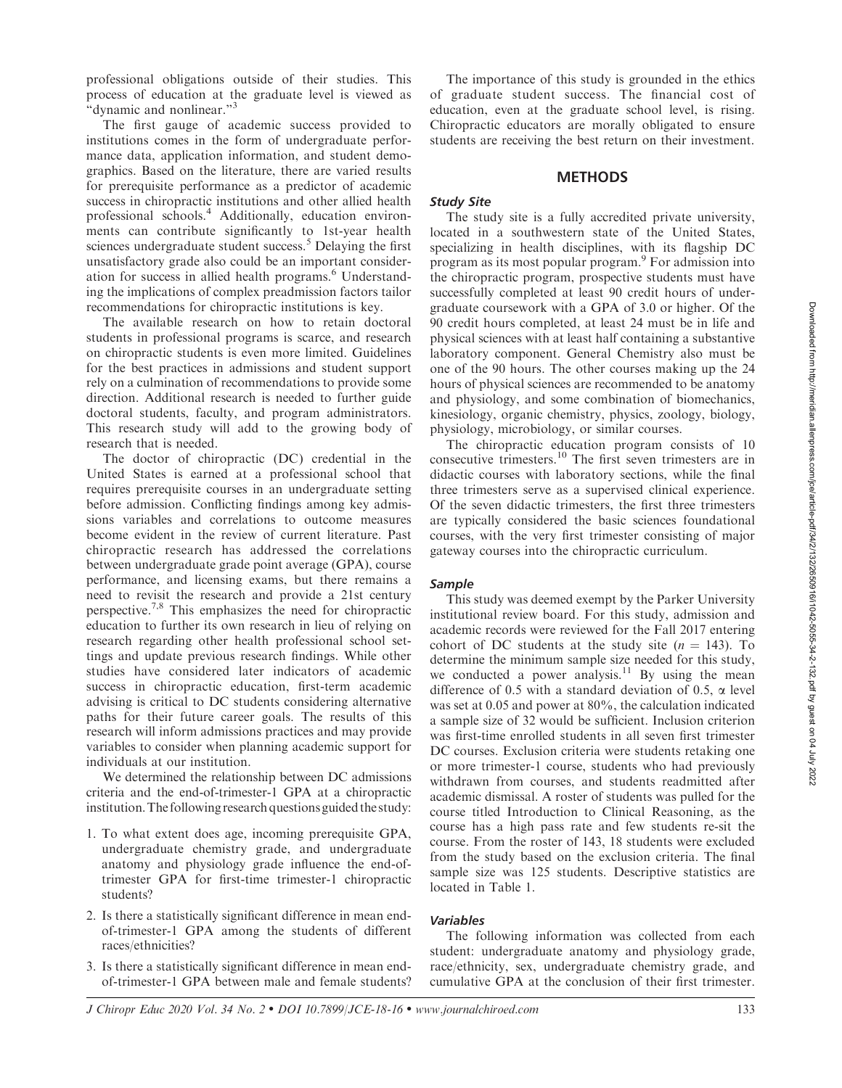professional obligations outside of their studies. This process of education at the graduate level is viewed as "dynamic and nonlinear."<sup>3</sup>

The first gauge of academic success provided to institutions comes in the form of undergraduate performance data, application information, and student demographics. Based on the literature, there are varied results for prerequisite performance as a predictor of academic success in chiropractic institutions and other allied health professional schools.4 Additionally, education environments can contribute significantly to 1st-year health sciences undergraduate student success.<sup>5</sup> Delaying the first unsatisfactory grade also could be an important consideration for success in allied health programs.<sup>6</sup> Understanding the implications of complex preadmission factors tailor recommendations for chiropractic institutions is key.

The available research on how to retain doctoral students in professional programs is scarce, and research on chiropractic students is even more limited. Guidelines for the best practices in admissions and student support rely on a culmination of recommendations to provide some direction. Additional research is needed to further guide doctoral students, faculty, and program administrators. This research study will add to the growing body of research that is needed.

The doctor of chiropractic (DC) credential in the United States is earned at a professional school that requires prerequisite courses in an undergraduate setting before admission. Conflicting findings among key admissions variables and correlations to outcome measures become evident in the review of current literature. Past chiropractic research has addressed the correlations between undergraduate grade point average (GPA), course performance, and licensing exams, but there remains a need to revisit the research and provide a 21st century perspective.<sup>7,8</sup> This emphasizes the need for chiropractic education to further its own research in lieu of relying on research regarding other health professional school settings and update previous research findings. While other studies have considered later indicators of academic success in chiropractic education, first-term academic advising is critical to DC students considering alternative paths for their future career goals. The results of this research will inform admissions practices and may provide variables to consider when planning academic support for individuals at our institution.

We determined the relationship between DC admissions criteria and the end-of-trimester-1 GPA at a chiropractic institution.The following research questions guided the study:

- 1. To what extent does age, incoming prerequisite GPA, undergraduate chemistry grade, and undergraduate anatomy and physiology grade influence the end-oftrimester GPA for first-time trimester-1 chiropractic students?
- 2. Is there a statistically significant difference in mean endof-trimester-1 GPA among the students of different races/ethnicities?
- 3. Is there a statistically significant difference in mean endof-trimester-1 GPA between male and female students?

The importance of this study is grounded in the ethics of graduate student success. The financial cost of education, even at the graduate school level, is rising. Chiropractic educators are morally obligated to ensure students are receiving the best return on their investment.

#### **METHODS**

### Study Site

The study site is a fully accredited private university, located in a southwestern state of the United States, specializing in health disciplines, with its flagship DC program as its most popular program.9 For admission into the chiropractic program, prospective students must have successfully completed at least 90 credit hours of undergraduate coursework with a GPA of 3.0 or higher. Of the 90 credit hours completed, at least 24 must be in life and physical sciences with at least half containing a substantive laboratory component. General Chemistry also must be one of the 90 hours. The other courses making up the 24 hours of physical sciences are recommended to be anatomy and physiology, and some combination of biomechanics, kinesiology, organic chemistry, physics, zoology, biology, physiology, microbiology, or similar courses.

The chiropractic education program consists of 10 consecutive trimesters.<sup>10</sup> The first seven trimesters are in didactic courses with laboratory sections, while the final three trimesters serve as a supervised clinical experience. Of the seven didactic trimesters, the first three trimesters are typically considered the basic sciences foundational courses, with the very first trimester consisting of major gateway courses into the chiropractic curriculum.

#### Sample

This study was deemed exempt by the Parker University institutional review board. For this study, admission and academic records were reviewed for the Fall 2017 entering cohort of DC students at the study site  $(n = 143)$ . To determine the minimum sample size needed for this study, we conducted a power analysis.<sup>11</sup> By using the mean difference of 0.5 with a standard deviation of 0.5,  $\alpha$  level was set at 0.05 and power at 80%, the calculation indicated a sample size of 32 would be sufficient. Inclusion criterion was first-time enrolled students in all seven first trimester DC courses. Exclusion criteria were students retaking one or more trimester-1 course, students who had previously withdrawn from courses, and students readmitted after academic dismissal. A roster of students was pulled for the course titled Introduction to Clinical Reasoning, as the course has a high pass rate and few students re-sit the course. From the roster of 143, 18 students were excluded from the study based on the exclusion criteria. The final sample size was 125 students. Descriptive statistics are located in Table 1.

#### Variables

The following information was collected from each student: undergraduate anatomy and physiology grade, race/ethnicity, sex, undergraduate chemistry grade, and cumulative GPA at the conclusion of their first trimester.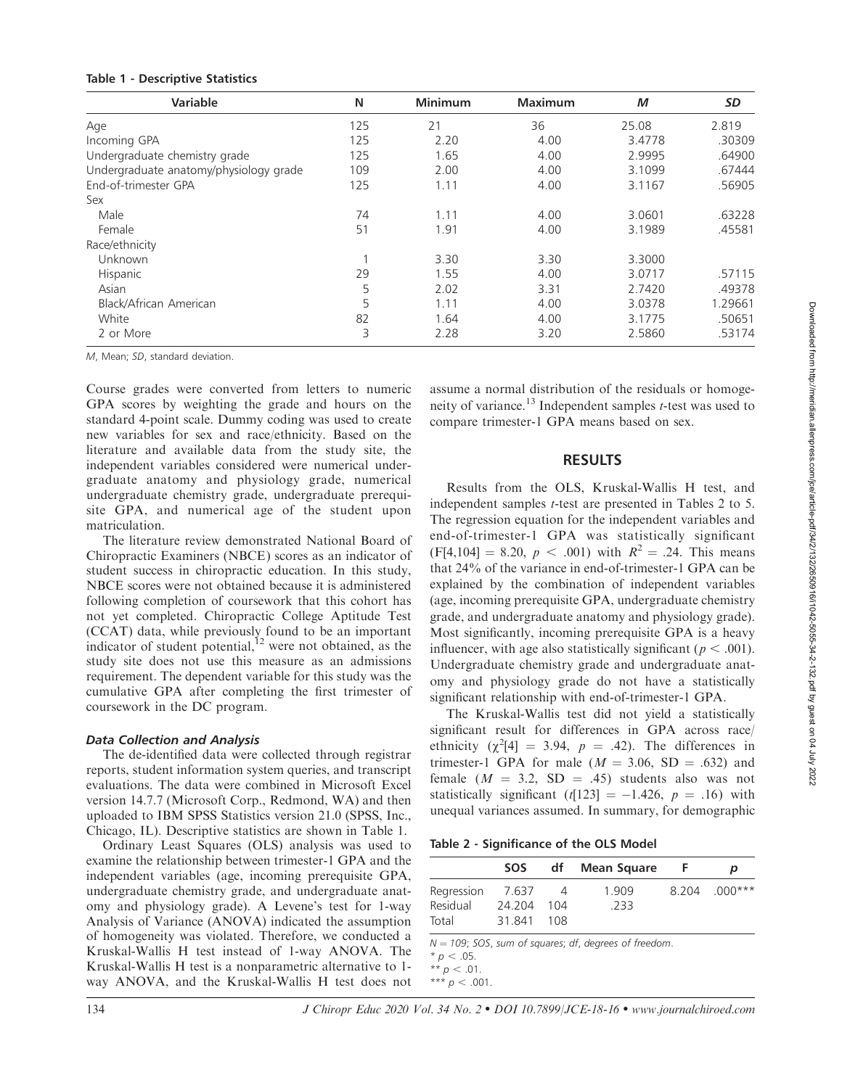| <b>Table 1 - Descriptive Statistics</b> |  |
|-----------------------------------------|--|
| <b>Mariahla</b>                         |  |

| <b>Variable</b>                        | N   | <b>Minimum</b> | <b>Maximum</b> | М      | SD      |  |
|----------------------------------------|-----|----------------|----------------|--------|---------|--|
| Age                                    | 125 | 21             | 36             | 25.08  | 2.819   |  |
| Incoming GPA                           | 125 | 2.20           | 4.00           | 3.4778 | .30309  |  |
| Undergraduate chemistry grade          | 125 | 1.65           | 4.00           | 2.9995 | .64900  |  |
| Undergraduate anatomy/physiology grade | 109 | 2.00           | 4.00           | 3.1099 | .67444  |  |
| End-of-trimester GPA                   | 125 | 1.11           | 4.00           | 3.1167 | .56905  |  |
| Sex                                    |     |                |                |        |         |  |
| Male                                   | 74  | 1.11           | 4.00           | 3.0601 | .63228  |  |
| Female                                 | 51  | 1.91           | 4.00           | 3.1989 | .45581  |  |
| Race/ethnicity                         |     |                |                |        |         |  |
| Unknown                                |     | 3.30           | 3.30           | 3.3000 |         |  |
| Hispanic                               | 29  | 1.55           | 4.00           | 3.0717 | .57115  |  |
| Asian                                  | 5   | 2.02           | 3.31           | 2.7420 | .49378  |  |
| Black/African American                 | 5   | 1.11           | 4.00           | 3.0378 | 1.29661 |  |
| White                                  | 82  | 1.64           | 4.00           | 3.1775 | .50651  |  |
| 2 or More                              | 3   | 2.28           | 3.20           | 2.5860 | .53174  |  |

M, Mean; SD, standard deviation.

Course grades were converted from letters to numeric GPA scores by weighting the grade and hours on the standard 4-point scale. Dummy coding was used to create new variables for sex and race/ethnicity. Based on the literature and available data from the study site, the independent variables considered were numerical undergraduate anatomy and physiology grade, numerical undergraduate chemistry grade, undergraduate prerequisite GPA, and numerical age of the student upon matriculation.

The literature review demonstrated National Board of Chiropractic Examiners (NBCE) scores as an indicator of student success in chiropractic education. In this study, NBCE scores were not obtained because it is administered following completion of coursework that this cohort has not yet completed. Chiropractic College Aptitude Test (CCAT) data, while previously found to be an important indicator of student potential, $12$  were not obtained, as the study site does not use this measure as an admissions requirement. The dependent variable for this study was the cumulative GPA after completing the first trimester of coursework in the DC program.

# Data Collection and Analysis

The de-identified data were collected through registrar reports, student information system queries, and transcript evaluations. The data were combined in Microsoft Excel version 14.7.7 (Microsoft Corp., Redmond, WA) and then uploaded to IBM SPSS Statistics version 21.0 (SPSS, Inc., Chicago, IL). Descriptive statistics are shown in Table 1.

Ordinary Least Squares (OLS) analysis was used to examine the relationship between trimester-1 GPA and the independent variables (age, incoming prerequisite GPA, undergraduate chemistry grade, and undergraduate anatomy and physiology grade). A Levene's test for 1-way Analysis of Variance (ANOVA) indicated the assumption of homogeneity was violated. Therefore, we conducted a Kruskal-Wallis H test instead of 1-way ANOVA. The Kruskal-Wallis H test is a nonparametric alternative to 1 way ANOVA, and the Kruskal-Wallis H test does not

assume a normal distribution of the residuals or homogeneity of variance.<sup>13</sup> Independent samples  $t$ -test was used to compare trimester-1 GPA means based on sex.

# RESULTS

Results from the OLS, Kruskal-Wallis H test, and independent samples t-test are presented in Tables 2 to 5. The regression equation for the independent variables and end-of-trimester-1 GPA was statistically significant  $(F[4,104] = 8.20, p < .001)$  with  $R^2 = .24$ . This means that 24% of the variance in end-of-trimester-1 GPA can be explained by the combination of independent variables (age, incoming prerequisite GPA, undergraduate chemistry grade, and undergraduate anatomy and physiology grade). Most significantly, incoming prerequisite GPA is a heavy influencer, with age also statistically significant ( $p < .001$ ). Undergraduate chemistry grade and undergraduate anatomy and physiology grade do not have a statistically significant relationship with end-of-trimester-1 GPA.

The Kruskal-Wallis test did not yield a statistically significant result for differences in GPA across race/ ethnicity  $(\chi^2[4] = 3.94, p = .42)$ . The differences in trimester-1 GPA for male ( $M = 3.06$ , SD = .632) and female  $(M = 3.2, SD = .45)$  students also was not statistically significant (t[123] =  $-1.426$ , p = .16) with unequal variances assumed. In summary, for demographic

Table 2 - Significance of the OLS Model

|                                 | <b>SOS</b>                | df                           | Mean Square   | p               |
|---------------------------------|---------------------------|------------------------------|---------------|-----------------|
| Regression<br>Residual<br>Total | 7.637<br>24.204<br>31.841 | $\overline{4}$<br>104<br>108 | 1.909<br>.233 | $8.204$ .000*** |
|                                 |                           |                              |               |                 |

 $N = 109$ ; SOS, sum of squares; df, degrees of freedom.

 $* p < .05$ .

\*\*  $p < .01$ . \*\*\*  $p < .001$ .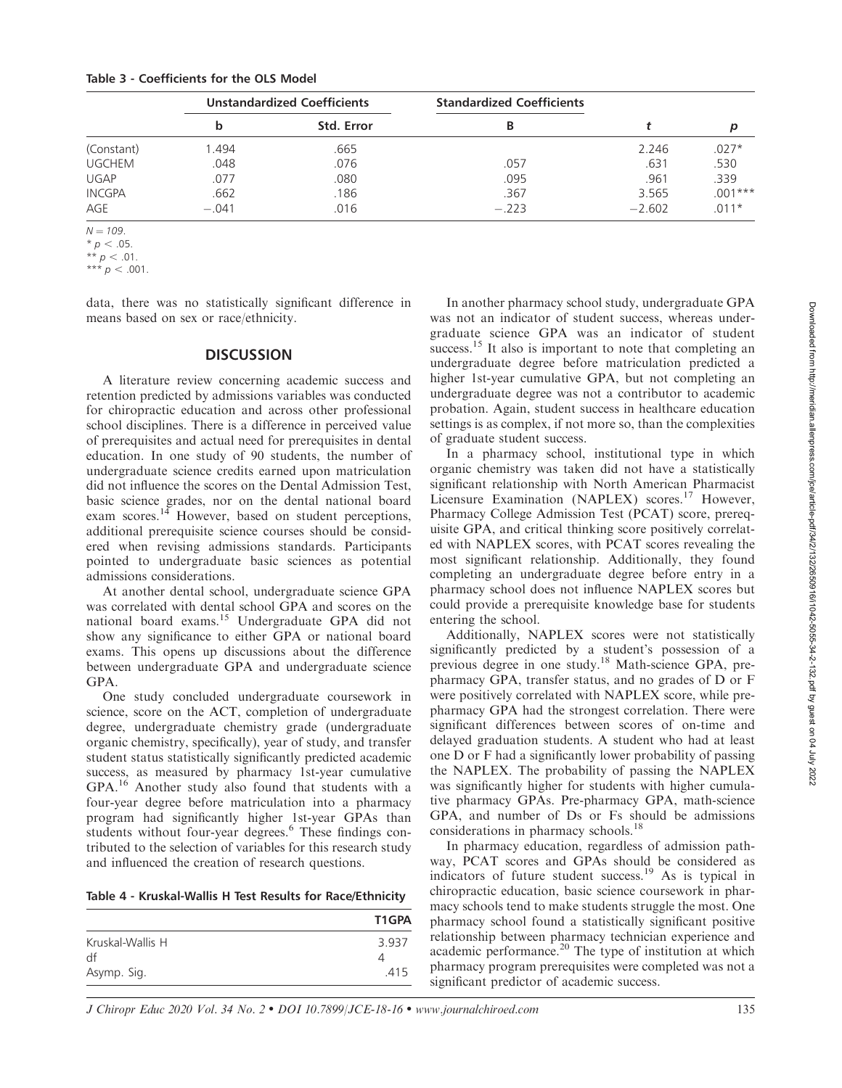|               | <b>Unstandardized Coefficients</b> |            | <b>Standardized Coefficients</b> |          |           |
|---------------|------------------------------------|------------|----------------------------------|----------|-----------|
|               | b                                  | Std. Error | В                                |          | р         |
| (Constant)    | 1.494                              | .665       |                                  | 2.246    | $.027*$   |
| <b>UGCHEM</b> | .048                               | .076       | .057                             | .631     | .530      |
| <b>UGAP</b>   | .077                               | .080       | .095                             | .961     | .339      |
| <b>INCGPA</b> | .662                               | .186       | .367                             | 3.565    | $.001***$ |
| AGE           | $-.041$                            | .016       | $-.223$                          | $-2.602$ | $011*$    |

 $N = 109.$ 

\*\*\*  $p < .001$ .

data, there was no statistically significant difference in means based on sex or race/ethnicity.

# **DISCUSSION**

A literature review concerning academic success and retention predicted by admissions variables was conducted for chiropractic education and across other professional school disciplines. There is a difference in perceived value of prerequisites and actual need for prerequisites in dental education. In one study of 90 students, the number of undergraduate science credits earned upon matriculation did not influence the scores on the Dental Admission Test, basic science grades, nor on the dental national board exam scores.<sup>14</sup> However, based on student perceptions, additional prerequisite science courses should be considered when revising admissions standards. Participants pointed to undergraduate basic sciences as potential admissions considerations.

At another dental school, undergraduate science GPA was correlated with dental school GPA and scores on the national board exams.15 Undergraduate GPA did not show any significance to either GPA or national board exams. This opens up discussions about the difference between undergraduate GPA and undergraduate science GPA.

One study concluded undergraduate coursework in science, score on the ACT, completion of undergraduate degree, undergraduate chemistry grade (undergraduate organic chemistry, specifically), year of study, and transfer student status statistically significantly predicted academic success, as measured by pharmacy 1st-year cumulative GPA.<sup>16</sup> Another study also found that students with a four-year degree before matriculation into a pharmacy program had significantly higher 1st-year GPAs than students without four-year degrees.<sup>6</sup> These findings contributed to the selection of variables for this research study and influenced the creation of research questions.

Table 4 - Kruskal-Wallis H Test Results for Race/Ethnicity

|                  | T1GPA |
|------------------|-------|
| Kruskal-Wallis H | 3.937 |
| df               |       |
| Asymp. Sig.      | 415   |

In another pharmacy school study, undergraduate GPA was not an indicator of student success, whereas undergraduate science GPA was an indicator of student success.<sup>15</sup> It also is important to note that completing an undergraduate degree before matriculation predicted a higher 1st-year cumulative GPA, but not completing an undergraduate degree was not a contributor to academic probation. Again, student success in healthcare education settings is as complex, if not more so, than the complexities of graduate student success.

In a pharmacy school, institutional type in which organic chemistry was taken did not have a statistically significant relationship with North American Pharmacist Licensure Examination (NAPLEX) scores.<sup>17</sup> However, Pharmacy College Admission Test (PCAT) score, prerequisite GPA, and critical thinking score positively correlated with NAPLEX scores, with PCAT scores revealing the most significant relationship. Additionally, they found completing an undergraduate degree before entry in a pharmacy school does not influence NAPLEX scores but could provide a prerequisite knowledge base for students entering the school.

Additionally, NAPLEX scores were not statistically significantly predicted by a student's possession of a previous degree in one study.<sup>18</sup> Math-science GPA, prepharmacy GPA, transfer status, and no grades of D or F were positively correlated with NAPLEX score, while prepharmacy GPA had the strongest correlation. There were significant differences between scores of on-time and delayed graduation students. A student who had at least one D or F had a significantly lower probability of passing the NAPLEX. The probability of passing the NAPLEX was significantly higher for students with higher cumulative pharmacy GPAs. Pre-pharmacy GPA, math-science GPA, and number of Ds or Fs should be admissions considerations in pharmacy schools.<sup>18</sup>

In pharmacy education, regardless of admission pathway, PCAT scores and GPAs should be considered as indicators of future student success.<sup>19</sup> As is typical in chiropractic education, basic science coursework in pharmacy schools tend to make students struggle the most. One pharmacy school found a statistically significant positive relationship between pharmacy technician experience and academic performance.20 The type of institution at which pharmacy program prerequisites were completed was not a significant predictor of academic success.

J Chiropr Educ 2020 Vol. 34 No. 2 - DOI 10.7899/JCE-18-16 - www.journalchiroed.com 135

 $* p < .05.$ \*\*  $p < .01$ .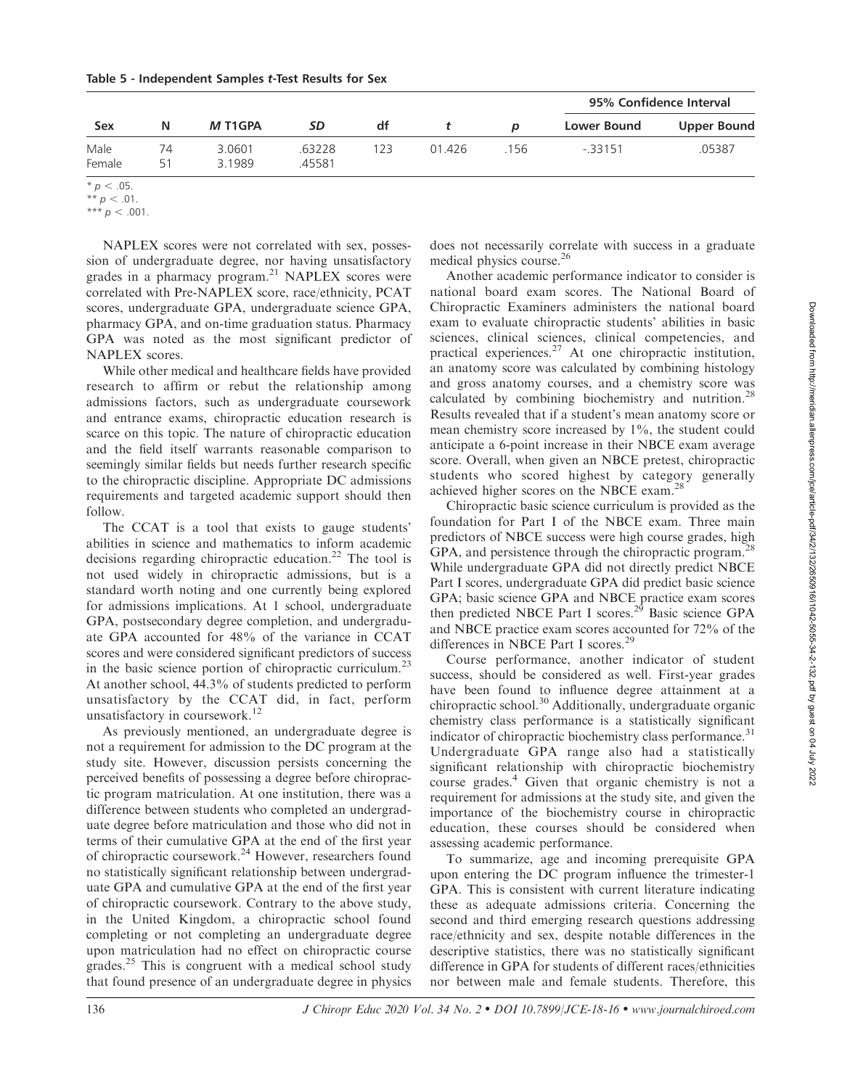|          |                  |                  |     |        | 95% Confidence Interval |             |                    |
|----------|------------------|------------------|-----|--------|-------------------------|-------------|--------------------|
| N        | M T1GPA          | SD               | df  |        | $\boldsymbol{p}$        | Lower Bound | <b>Upper Bound</b> |
| 74<br>51 | 3.0601<br>3.1989 | .63228<br>.45581 | 123 | 01.426 | 156                     | $-33151$    | .05387             |
|          |                  |                  |     |        |                         |             |                    |

 $* p < .05.$ 

NAPLEX scores were not correlated with sex, possession of undergraduate degree, nor having unsatisfactory grades in a pharmacy program.<sup>21</sup> NAPLEX scores were correlated with Pre-NAPLEX score, race/ethnicity, PCAT scores, undergraduate GPA, undergraduate science GPA, pharmacy GPA, and on-time graduation status. Pharmacy GPA was noted as the most significant predictor of NAPLEX scores.

While other medical and healthcare fields have provided research to affirm or rebut the relationship among admissions factors, such as undergraduate coursework and entrance exams, chiropractic education research is scarce on this topic. The nature of chiropractic education and the field itself warrants reasonable comparison to seemingly similar fields but needs further research specific to the chiropractic discipline. Appropriate DC admissions requirements and targeted academic support should then follow.

The CCAT is a tool that exists to gauge students' abilities in science and mathematics to inform academic decisions regarding chiropractic education.<sup>22</sup> The tool is not used widely in chiropractic admissions, but is a standard worth noting and one currently being explored for admissions implications. At 1 school, undergraduate GPA, postsecondary degree completion, and undergraduate GPA accounted for 48% of the variance in CCAT scores and were considered significant predictors of success in the basic science portion of chiropractic curriculum.<sup>23</sup> At another school, 44.3% of students predicted to perform unsatisfactory by the CCAT did, in fact, perform unsatisfactory in coursework.<sup>12</sup>

As previously mentioned, an undergraduate degree is not a requirement for admission to the DC program at the study site. However, discussion persists concerning the perceived benefits of possessing a degree before chiropractic program matriculation. At one institution, there was a difference between students who completed an undergraduate degree before matriculation and those who did not in terms of their cumulative GPA at the end of the first year of chiropractic coursework.24 However, researchers found no statistically significant relationship between undergraduate GPA and cumulative GPA at the end of the first year of chiropractic coursework. Contrary to the above study, in the United Kingdom, a chiropractic school found completing or not completing an undergraduate degree upon matriculation had no effect on chiropractic course grades. $25$  This is congruent with a medical school study that found presence of an undergraduate degree in physics

does not necessarily correlate with success in a graduate medical physics course.<sup>26</sup>

Another academic performance indicator to consider is national board exam scores. The National Board of Chiropractic Examiners administers the national board exam to evaluate chiropractic students' abilities in basic sciences, clinical sciences, clinical competencies, and practical experiences.<sup>27</sup> At one chiropractic institution, an anatomy score was calculated by combining histology and gross anatomy courses, and a chemistry score was calculated by combining biochemistry and nutrition.<sup>28</sup> Results revealed that if a student's mean anatomy score or mean chemistry score increased by 1%, the student could anticipate a 6-point increase in their NBCE exam average score. Overall, when given an NBCE pretest, chiropractic students who scored highest by category generally achieved higher scores on the NBCE exam.28

Chiropractic basic science curriculum is provided as the foundation for Part I of the NBCE exam. Three main predictors of NBCE success were high course grades, high GPA, and persistence through the chiropractic program.<sup>28</sup> While undergraduate GPA did not directly predict NBCE Part I scores, undergraduate GPA did predict basic science GPA; basic science GPA and NBCE practice exam scores then predicted NBCE Part I scores.<sup>29</sup> Basic science GPA and NBCE practice exam scores accounted for 72% of the differences in NBCE Part I scores.<sup>29</sup>

Course performance, another indicator of student success, should be considered as well. First-year grades have been found to influence degree attainment at a chiropractic school.<sup>30</sup> Additionally, undergraduate organic chemistry class performance is a statistically significant indicator of chiropractic biochemistry class performance.<sup>31</sup> Undergraduate GPA range also had a statistically significant relationship with chiropractic biochemistry course grades.<sup>4</sup> Given that organic chemistry is not a requirement for admissions at the study site, and given the importance of the biochemistry course in chiropractic education, these courses should be considered when assessing academic performance.

To summarize, age and incoming prerequisite GPA upon entering the DC program influence the trimester-1 GPA. This is consistent with current literature indicating these as adequate admissions criteria. Concerning the second and third emerging research questions addressing race/ethnicity and sex, despite notable differences in the descriptive statistics, there was no statistically significant difference in GPA for students of different races/ethnicities nor between male and female students. Therefore, this

<sup>\*\*</sup>  $p < .01$ .

<sup>\*\*\*</sup>  $p < .001$ .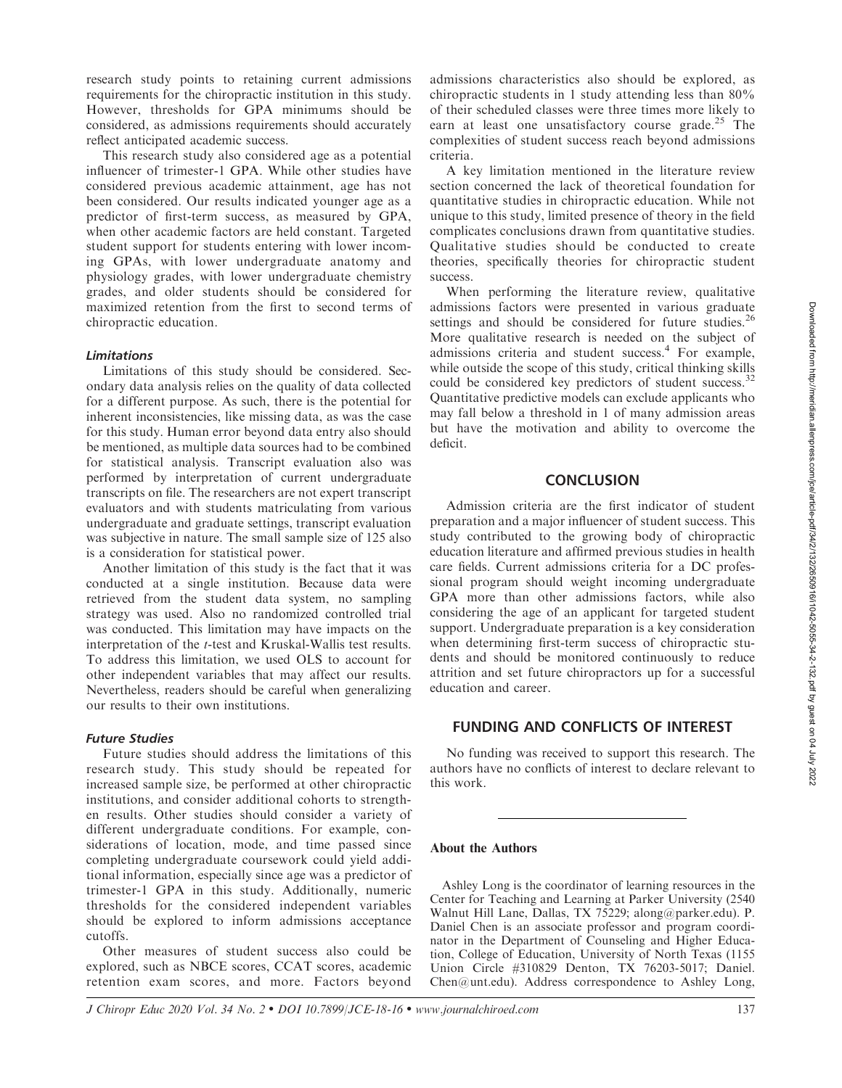research study points to retaining current admissions requirements for the chiropractic institution in this study. However, thresholds for GPA minimums should be considered, as admissions requirements should accurately reflect anticipated academic success.

This research study also considered age as a potential influencer of trimester-1 GPA. While other studies have considered previous academic attainment, age has not been considered. Our results indicated younger age as a predictor of first-term success, as measured by GPA, when other academic factors are held constant. Targeted student support for students entering with lower incoming GPAs, with lower undergraduate anatomy and physiology grades, with lower undergraduate chemistry grades, and older students should be considered for maximized retention from the first to second terms of chiropractic education.

#### Limitations

Limitations of this study should be considered. Secondary data analysis relies on the quality of data collected for a different purpose. As such, there is the potential for inherent inconsistencies, like missing data, as was the case for this study. Human error beyond data entry also should be mentioned, as multiple data sources had to be combined for statistical analysis. Transcript evaluation also was performed by interpretation of current undergraduate transcripts on file. The researchers are not expert transcript evaluators and with students matriculating from various undergraduate and graduate settings, transcript evaluation was subjective in nature. The small sample size of 125 also is a consideration for statistical power.

Another limitation of this study is the fact that it was conducted at a single institution. Because data were retrieved from the student data system, no sampling strategy was used. Also no randomized controlled trial was conducted. This limitation may have impacts on the interpretation of the t-test and Kruskal-Wallis test results. To address this limitation, we used OLS to account for other independent variables that may affect our results. Nevertheless, readers should be careful when generalizing our results to their own institutions.

#### Future Studies

Future studies should address the limitations of this research study. This study should be repeated for increased sample size, be performed at other chiropractic institutions, and consider additional cohorts to strengthen results. Other studies should consider a variety of different undergraduate conditions. For example, considerations of location, mode, and time passed since completing undergraduate coursework could yield additional information, especially since age was a predictor of trimester-1 GPA in this study. Additionally, numeric thresholds for the considered independent variables should be explored to inform admissions acceptance cutoffs.

Other measures of student success also could be explored, such as NBCE scores, CCAT scores, academic retention exam scores, and more. Factors beyond

admissions characteristics also should be explored, as chiropractic students in 1 study attending less than 80% of their scheduled classes were three times more likely to earn at least one unsatisfactory course grade.<sup>25</sup> The complexities of student success reach beyond admissions criteria.

A key limitation mentioned in the literature review section concerned the lack of theoretical foundation for quantitative studies in chiropractic education. While not unique to this study, limited presence of theory in the field complicates conclusions drawn from quantitative studies. Qualitative studies should be conducted to create theories, specifically theories for chiropractic student success.

When performing the literature review, qualitative admissions factors were presented in various graduate settings and should be considered for future studies.<sup>26</sup> More qualitative research is needed on the subject of admissions criteria and student success.<sup>4</sup> For example, while outside the scope of this study, critical thinking skills could be considered key predictors of student success.<sup>32</sup> Quantitative predictive models can exclude applicants who may fall below a threshold in 1 of many admission areas but have the motivation and ability to overcome the deficit.

### **CONCLUSION**

Admission criteria are the first indicator of student preparation and a major influencer of student success. This study contributed to the growing body of chiropractic education literature and affirmed previous studies in health care fields. Current admissions criteria for a DC professional program should weight incoming undergraduate GPA more than other admissions factors, while also considering the age of an applicant for targeted student support. Undergraduate preparation is a key consideration when determining first-term success of chiropractic students and should be monitored continuously to reduce attrition and set future chiropractors up for a successful education and career.

# FUNDING AND CONFLICTS OF INTEREST

No funding was received to support this research. The authors have no conflicts of interest to declare relevant to this work.

#### About the Authors

Ashley Long is the coordinator of learning resources in the Center for Teaching and Learning at Parker University (2540 Walnut Hill Lane, Dallas, TX 75229; along@parker.edu). P. Daniel Chen is an associate professor and program coordinator in the Department of Counseling and Higher Education, College of Education, University of North Texas (1155 Union Circle #310829 Denton, TX 76203-5017; Daniel. Chen@unt.edu). Address correspondence to Ashley Long,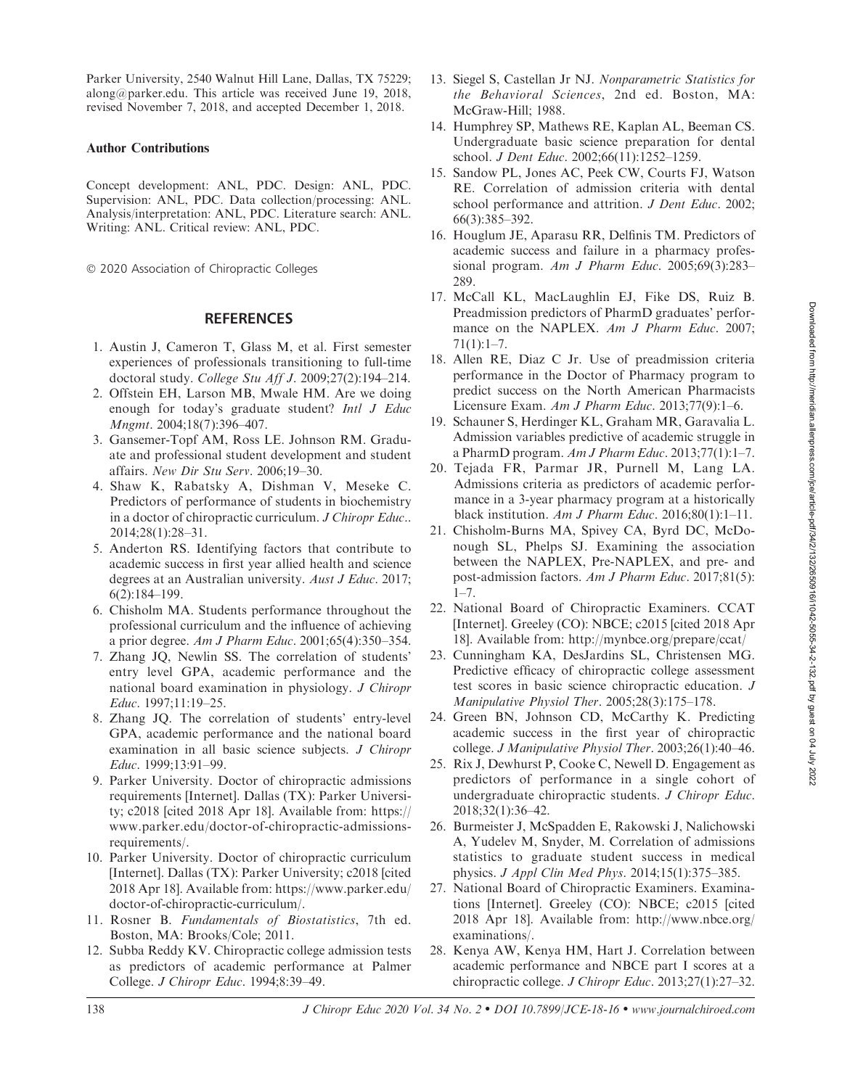Parker University, 2540 Walnut Hill Lane, Dallas, TX 75229; along@parker.edu. This article was received June 19, 2018, revised November 7, 2018, and accepted December 1, 2018.

# Author Contributions

Concept development: ANL, PDC. Design: ANL, PDC. Supervision: ANL, PDC. Data collection/processing: ANL. Analysis/interpretation: ANL, PDC. Literature search: ANL. Writing: ANL. Critical review: ANL, PDC.

- 2020 Association of Chiropractic Colleges

# **REFERENCES**

- 1. Austin J, Cameron T, Glass M, et al. First semester experiences of professionals transitioning to full-time doctoral study. College Stu Aff J. 2009;27(2):194–214.
- 2. Offstein EH, Larson MB, Mwale HM. Are we doing enough for today's graduate student? Intl J Educ Mngmt. 2004;18(7):396–407.
- 3. Gansemer-Topf AM, Ross LE. Johnson RM. Graduate and professional student development and student affairs. New Dir Stu Serv. 2006;19–30.
- 4. Shaw K, Rabatsky A, Dishman V, Meseke C. Predictors of performance of students in biochemistry in a doctor of chiropractic curriculum. J Chiropr Educ.. 2014;28(1):28–31.
- 5. Anderton RS. Identifying factors that contribute to academic success in first year allied health and science degrees at an Australian university. Aust J Educ. 2017; 6(2):184–199.
- 6. Chisholm MA. Students performance throughout the professional curriculum and the influence of achieving a prior degree. Am J Pharm Educ. 2001;65(4):350–354.
- 7. Zhang JQ, Newlin SS. The correlation of students' entry level GPA, academic performance and the national board examination in physiology. J Chiropr Educ. 1997;11:19–25.
- 8. Zhang JQ. The correlation of students' entry-level GPA, academic performance and the national board examination in all basic science subjects. J Chiropr Educ. 1999;13:91–99.
- 9. Parker University. Doctor of chiropractic admissions requirements [Internet]. Dallas (TX): Parker University; c2018 [cited 2018 Apr 18]. Available from: https:// www.parker.edu/doctor-of-chiropractic-admissionsrequirements/.
- 10. Parker University. Doctor of chiropractic curriculum [Internet]. Dallas (TX): Parker University; c2018 [cited 2018 Apr 18]. Available from: https://www.parker.edu/ doctor-of-chiropractic-curriculum/.
- 11. Rosner B. Fundamentals of Biostatistics, 7th ed. Boston, MA: Brooks/Cole; 2011.
- 12. Subba Reddy KV. Chiropractic college admission tests as predictors of academic performance at Palmer College. J Chiropr Educ. 1994;8:39–49.
- 13. Siegel S, Castellan Jr NJ. Nonparametric Statistics for the Behavioral Sciences, 2nd ed. Boston, MA: McGraw-Hill; 1988.
- 14. Humphrey SP, Mathews RE, Kaplan AL, Beeman CS. Undergraduate basic science preparation for dental school. J Dent Educ. 2002;66(11):1252–1259.
- 15. Sandow PL, Jones AC, Peek CW, Courts FJ, Watson RE. Correlation of admission criteria with dental school performance and attrition. J Dent Educ. 2002; 66(3):385–392.
- 16. Houglum JE, Aparasu RR, Delfinis TM. Predictors of academic success and failure in a pharmacy professional program. Am J Pharm Educ. 2005;69(3):283– 289.
- 17. McCall KL, MacLaughlin EJ, Fike DS, Ruiz B. Preadmission predictors of PharmD graduates' performance on the NAPLEX. Am J Pharm Educ. 2007; 71(1):1–7.
- 18. Allen RE, Diaz C Jr. Use of preadmission criteria performance in the Doctor of Pharmacy program to predict success on the North American Pharmacists Licensure Exam. Am J Pharm Educ. 2013;77(9):1–6.
- 19. Schauner S, Herdinger KL, Graham MR, Garavalia L. Admission variables predictive of academic struggle in a PharmD program. Am J Pharm Educ. 2013;77(1):1–7.
- 20. Tejada FR, Parmar JR, Purnell M, Lang LA. Admissions criteria as predictors of academic performance in a 3-year pharmacy program at a historically black institution. Am J Pharm Educ.  $2016;80(1):1-11$ .
- 21. Chisholm-Burns MA, Spivey CA, Byrd DC, McDonough SL, Phelps SJ. Examining the association between the NAPLEX, Pre-NAPLEX, and pre- and post-admission factors. Am J Pharm Educ. 2017;81(5):  $1 - 7$ .
- 22. National Board of Chiropractic Examiners. CCAT [Internet]. Greeley (CO): NBCE; c2015 [cited 2018 Apr 18]. Available from: http://mynbce.org/prepare/ccat/
- 23. Cunningham KA, DesJardins SL, Christensen MG. Predictive efficacy of chiropractic college assessment test scores in basic science chiropractic education. J Manipulative Physiol Ther. 2005;28(3):175–178.
- 24. Green BN, Johnson CD, McCarthy K. Predicting academic success in the first year of chiropractic college. J Manipulative Physiol Ther. 2003;26(1):40–46.
- 25. Rix J, Dewhurst P, Cooke C, Newell D. Engagement as predictors of performance in a single cohort of undergraduate chiropractic students. J Chiropr Educ. 2018;32(1):36–42.
- 26. Burmeister J, McSpadden E, Rakowski J, Nalichowski A, Yudelev M, Snyder, M. Correlation of admissions statistics to graduate student success in medical physics. J Appl Clin Med Phys. 2014;15(1):375–385.
- 27. National Board of Chiropractic Examiners. Examinations [Internet]. Greeley (CO): NBCE; c2015 [cited 2018 Apr 18]. Available from: http://www.nbce.org/ examinations/.
- 28. Kenya AW, Kenya HM, Hart J. Correlation between academic performance and NBCE part I scores at a chiropractic college. J Chiropr Educ. 2013;27(1):27–32.